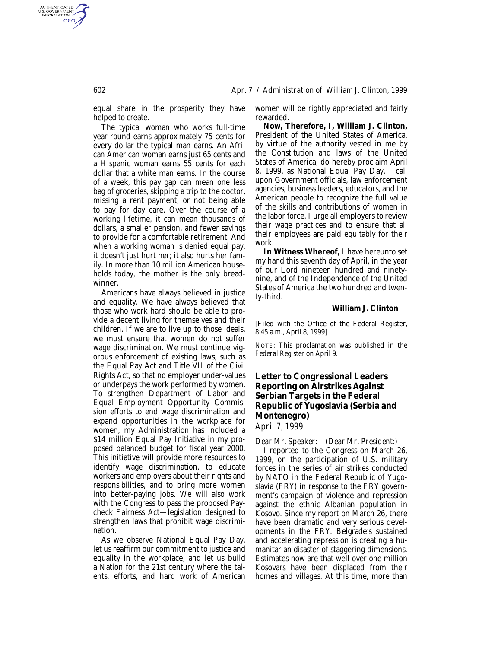equal share in the prosperity they have helped to create.

The typical woman who works full-time year-round earns approximately 75 cents for every dollar the typical man earns. An African American woman earns just 65 cents and a Hispanic woman earns 55 cents for each dollar that a white man earns. In the course of a week, this pay gap can mean one less bag of groceries, skipping a trip to the doctor, missing a rent payment, or not being able to pay for day care. Over the course of a working lifetime, it can mean thousands of dollars, a smaller pension, and fewer savings to provide for a comfortable retirement. And when a working woman is denied equal pay, it doesn't just hurt her; it also hurts her family. In more than 10 million American households today, the mother is the only breadwinner.

Americans have always believed in justice and equality. We have always believed that those who work hard should be able to provide a decent living for themselves and their children. If we are to live up to those ideals, we must ensure that women do not suffer wage discrimination. We must continue vigorous enforcement of existing laws, such as the Equal Pay Act and Title VII of the Civil Rights Act, so that no employer under-values or underpays the work performed by women. To strengthen Department of Labor and Equal Employment Opportunity Commission efforts to end wage discrimination and expand opportunities in the workplace for women, my Administration has included a \$14 million Equal Pay Initiative in my proposed balanced budget for fiscal year 2000. This initiative will provide more resources to identify wage discrimination, to educate workers and employers about their rights and responsibilities, and to bring more women into better-paying jobs. We will also work with the Congress to pass the proposed Paycheck Fairness Act—legislation designed to strengthen laws that prohibit wage discrimination.

As we observe National Equal Pay Day, let us reaffirm our commitment to justice and equality in the workplace, and let us build a Nation for the 21st century where the talents, efforts, and hard work of American women will be rightly appreciated and fairly rewarded.

**Now, Therefore, I, William J. Clinton,** President of the United States of America, by virtue of the authority vested in me by the Constitution and laws of the United States of America, do hereby proclaim April 8, 1999, as National Equal Pay Day. I call upon Government officials, law enforcement agencies, business leaders, educators, and the American people to recognize the full value of the skills and contributions of women in the labor force. I urge all employers to review their wage practices and to ensure that all their employees are paid equitably for their work.

**In Witness Whereof,** I have hereunto set my hand this seventh day of April, in the year of our Lord nineteen hundred and ninetynine, and of the Independence of the United States of America the two hundred and twenty-third.

## **William J. Clinton**

[Filed with the Office of the Federal Register, 8:45 a.m., April 8, 1999]

NOTE: This proclamation was published in the *Federal Register* on April 9.

## **Letter to Congressional Leaders Reporting on Airstrikes Against Serbian Targets in the Federal Republic of Yugoslavia (Serbia and Montenegro)**

*April 7, 1999*

*Dear Mr. Speaker: (Dear Mr. President:)*

I reported to the Congress on March 26, 1999, on the participation of U.S. military forces in the series of air strikes conducted by NATO in the Federal Republic of Yugoslavia (FRY) in response to the FRY government's campaign of violence and repression against the ethnic Albanian population in Kosovo. Since my report on March 26, there have been dramatic and very serious developments in the FRY. Belgrade's sustained and accelerating repression is creating a humanitarian disaster of staggering dimensions. Estimates now are that well over one million Kosovars have been displaced from their homes and villages. At this time, more than

AUTHENTICATED<br>U.S. GOVERNMENT<br>INFORMATION **GPO**